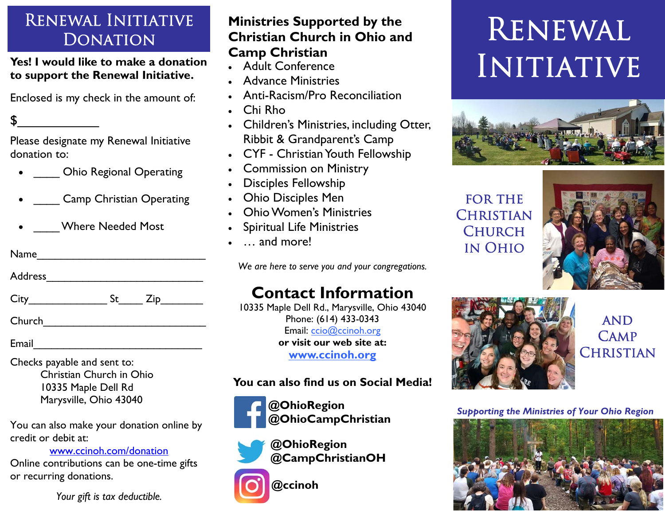# Renewal Initiative **DONATION**

**Yes! I would like to make a donation to support the Renewal Initiative.** 

Enclosed is my check in the amount of:

Please designate my Renewal Initiative donation to:

 $\sim$ 

- \_\_\_\_\_ Ohio Regional Operating
- $\bullet$ \_\_\_\_ Camp Christian Operating
- $\bullet$ \_\_\_\_ Where Needed Most

| Name |  |  |  |  |  |
|------|--|--|--|--|--|
|      |  |  |  |  |  |

Address\_\_\_\_\_\_\_\_\_\_\_\_\_\_\_\_\_\_\_\_\_\_\_\_\_\_

dre<br>-Y\_\_<br>nail\_ City\_\_\_\_\_\_\_\_\_\_\_\_\_ St\_\_\_\_ Zip\_\_\_\_\_\_\_

Church\_\_\_\_\_\_\_\_\_\_\_\_\_\_\_\_\_\_\_\_\_\_\_\_\_\_\_

Email\_\_\_\_\_\_\_\_\_\_\_\_\_\_\_\_\_\_\_\_\_\_\_\_\_\_\_\_

Checks payable and sent to: Christian Church in Ohio 10335 Maple Dell Rd Marysville, Ohio 43040

You can also make your donation online by credit or debit at:

www.ccinoh.com/donation

Online contributions can be one-time gifts or recurring donations.

*Your gift is tax deductible.* 

### **Ministries Supported by the Christian Church in Ohio and Camp Christian**

- Adult Conference
- Advance Ministries
- Anti-Racism/Pro Reconciliation
- $\bullet$ Chi Rho
- Children's Ministries, including Otter, Ribbit & Grandparent's Camp
- CYF Christian Youth Fellowship
- $\bullet$ Commission on Ministry
- Disciples Fellowship
- $\bullet$ Ohio Disciples Men
- $\bullet$ Ohio Women's Ministries
- $\bullet$ Spiritual Life Ministries
- . … and more!

*We are here to serve you and your congregations.* 

# **Contact Information**

10335 Maple Dell Rd., Marysville, Ohio 43040 Phone: (614) 433-0343 Email: ccio@ccinoh.org **or visit our web site at: www.ccinoh.org**

### **You can also find us on Social Media!**

**@OhioRegion @OhioCampChristian** 



**@ccinoh** 

# Renewal **INITIATIVE**



FOR THE **CHRISTIAN CHURCH** in Ohio





## **AND CAMP** CHRISTIAN

*Supporting the Ministries of Your Ohio Region*